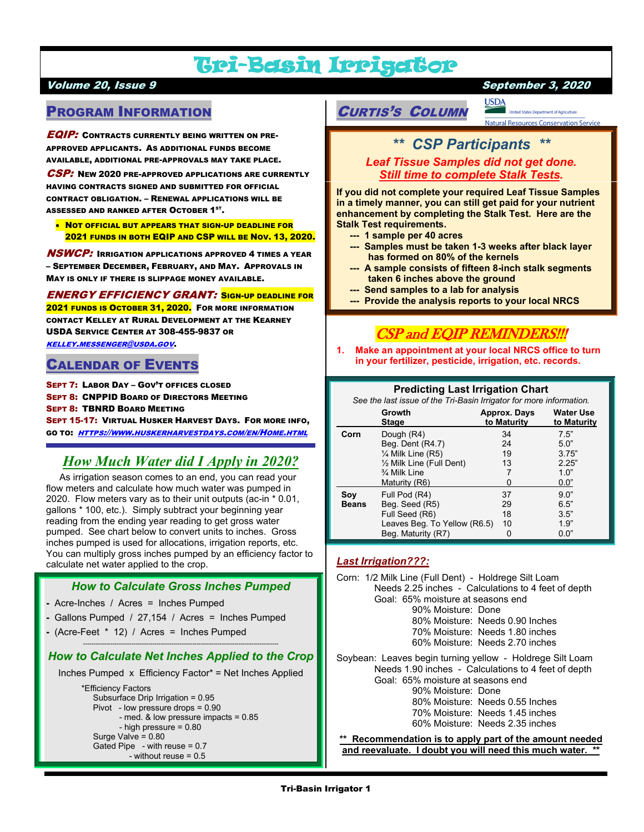# Tri-Basin Irrigator

### volume 20, Issue 9 September 3, 2020 November 3, 2020 September 3, 2020

# PROGRAM INFORMATION

**EQIP:** CONTRACTS CURRENTLY BEING WRITTEN ON PRE-APPROVED APPLICANTS. AS ADDITIONAL FUNDS BECOME AVAILABLE, ADDITIONAL PRE-APPROVALS MAY TAKE PLACE.

CSP: NEW 2020 PRE-APPROVED APPLICATIONS ARE CURRENTLY HAVING CONTRACTS SIGNED AND SUBMITTED FOR OFFICIAL CONTRACT OBLIGATION. – RENEWAL APPLICATIONS WILL BE ASSESSED AND RANKED AFTER  $\mathsf{O}\mathsf{CTO}\mathsf{BER}$   $\mathsf{1}^{\mathsf{ST}}$ .

• NOT OFFICIAL BUT APPEARS THAT SIGN-UP DEADLINE FOR 2021 FUNDS IN BOTH EQIP AND CSP WILL BE NOV. 13, 2020.

**NSWCP:** IRRIGATION APPLICATIONS APPROVED 4 TIMES A YEAR – SEPTEMBER DECEMBER, FEBRUARY, AND MAY. APPROVALS IN MAY IS ONLY IF THERE IS SLIPPAGE MONEY AVAILABLE.

ENERGY EFFICIENCY GRANT: SIGN-UP DEADLINE FOR

2021 FUNDS IS OCTOBER 31, 2020. FOR MORE INFORMATION CONTACT KELLEY AT RURAL DEVELOPMENT AT THE KEARNEY USDA SERVICE CENTER AT 308-455-9837 OR [KELLEY.MESSENGER@USDA.GOV](mailto:kelley.messenger@usda.gov).

### CALENDAR OF EVENTS

SEPT 7: LABOR DAY – GOV'T OFFICES CLOSED SEPT 8: CNPPID BOARD OF DIRECTORS MEETING SEPT 8: TBNRD BOARD MEETING SEPT 15-17: VIRTUAL HUSKER HARVEST DAYS. FOR MORE INFO, GO TO: [HTTPS://WWW.HUSKERHARVESTDAYS.COM/EN/HOME.HTML](https://www.huskerharvestdays.com/en/Home.html)

# *How Much Water did I Apply in 2020?*

 As irrigation season comes to an end, you can read your flow meters and calculate how much water was pumped in 2020. Flow meters vary as to their unit outputs (ac-in \* 0.01, gallons \* 100, etc.). Simply subtract your beginning year reading from the ending year reading to get gross water pumped. See chart below to convert units to inches. Gross inches pumped is used for allocations, irrigation reports, etc. You can multiply gross inches pumped by an efficiency factor to calculate net water applied to the crop.

### *How to Calculate Gross Inches Pumped*

- **-** Acre-Inches / Acres = Inches Pumped
- **-** Gallons Pumped / 27,154 / Acres = Inches Pumped
- **-** (Acre-Feet \* 12) / Acres = Inches Pumped

### --------------------------------------------------------------------------------------------- *How to Calculate Net Inches Applied to the Crop*

Inches Pumped x Efficiency Factor\* = Net Inches Applied

 \*Efficiency Factors Subsurface Drip Irrigation = 0.95 Pivot - low pressure drops = 0.90 - med. & low pressure impacts = 0.85 - high pressure = 0.80 Surge Valve = 0.80 Gated Pipe - with reuse = 0.7 - without reuse = 0.5

CURTIS'S COLUMN

**United States Department of Agriculture** Natural Resources Conservation Service

# *\*\* CSP Participants \*\**

**USDA** 

*Leaf Tissue Samples did not get done. Still time to complete Stalk Tests.*

**If you did not complete your required Leaf Tissue Samples in a timely manner, you can still get paid for your nutrient enhancement by completing the Stalk Test. Here are the Stalk Test requirements.**

- **--- 1 sample per 40 acres**
- **--- Samples must be taken 1-3 weeks after black layer has formed on 80% of the kernels**
- **--- A sample consists of fifteen 8-inch stalk segments taken 6 inches above the ground**
- **--- Send samples to a lab for analysis**
- **--- Provide the analysis reports to your local NRCS**

# CSP and EQIP REMINDERS!!!

**1. Make an appointment at your local NRCS office to turn in your fertilizer, pesticide, irrigation, etc. records.**

### **Predicting Last Irrigation Chart**

*See the last issue of the Tri-Basin Irrigator for more information.*

|              | Growth<br><b>Stage</b>       | Approx. Days<br>to Maturity | <b>Water Use</b><br>to Maturity |
|--------------|------------------------------|-----------------------------|---------------------------------|
| Corn         | Dough (R4)                   | 34                          | 7.5"                            |
|              | Beg. Dent (R4.7)             | 24                          | 5.0"                            |
|              | $\frac{1}{4}$ Milk Line (R5) | 19                          | 3.75"                           |
|              | 1/2 Milk Line (Full Dent)    | 13                          | 2.25"                           |
|              | 3⁄4 Milk Line                | 7                           | 1.0"                            |
|              | Maturity (R6)                |                             | 0.0"                            |
| Soy          | Full Pod (R4)                | 37                          | 9.0"                            |
| <b>Beans</b> | Beg. Seed (R5)               | 29                          | 6.5"                            |
|              | Full Seed (R6)               | 18                          | 3.5"                            |
|              | Leaves Beg. To Yellow (R6.5) | 10                          | 1.9"                            |
|              | Beg. Maturity (R7)           | 0                           | 0.0"                            |

### *Last Irrigation???:*

Corn: 1/2 Milk Line (Full Dent) - Holdrege Silt Loam Needs 2.25 inches - Calculations to 4 feet of depth Goal: 65% moisture at seasons end 90% Moisture: Done 80% Moisture: Needs 0.90 Inches 70% Moisture: Needs 1.80 inches 60% Moisture: Needs 2.70 inches

Soybean: Leaves begin turning yellow - Holdrege Silt Loam Needs 1.90 inches - Calculations to 4 feet of depth Goal: 65% moisture at seasons end 90% Moisture: Done 80% Moisture: Needs 0.55 Inches 70% Moisture: Needs 1.45 inches

60% Moisture: Needs 2.35 inches

**\*\* Recommendation is to apply part of the amount needed and reevaluate. I doubt you will need this much water. \*\***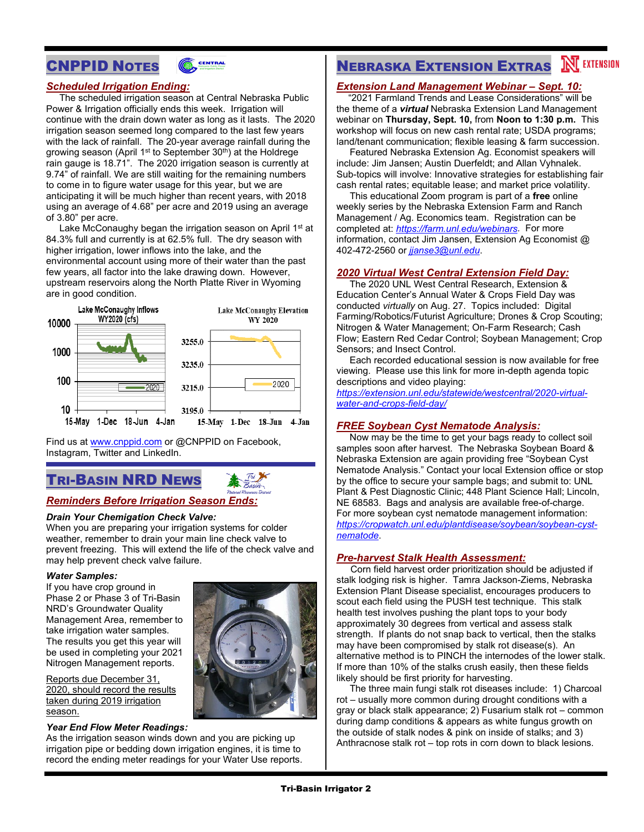



### *Scheduled Irrigation Ending:*

 The scheduled irrigation season at Central Nebraska Public Power & Irrigation officially ends this week. Irrigation will continue with the drain down water as long as it lasts. The 2020 irrigation season seemed long compared to the last few years with the lack of rainfall. The 20-year average rainfall during the growing season (April  $1<sup>st</sup>$  to September  $30<sup>th</sup>$ ) at the Holdrege rain gauge is 18.71". The 2020 irrigation season is currently at 9.74" of rainfall. We are still waiting for the remaining numbers to come in to figure water usage for this year, but we are anticipating it will be much higher than recent years, with 2018 using an average of 4.68" per acre and 2019 using an average of 3.80" per acre.

Lake McConaughy began the irrigation season on April 1<sup>st</sup> at 84.3% full and currently is at 62.5% full. The dry season with higher irrigation, lower inflows into the lake, and the environmental account using more of their water than the past few years, all factor into the lake drawing down. However, upstream reservoirs along the North Platte River in Wyoming are in good condition.



Find us at [www.cnppid.com](http://www.cnppid.com/) or @CNPPID on Facebook, Instagram, Twitter and LinkedIn.

# TRI-BASIN NRD NEWS

### *Reminders Before Irrigation Season Ends:*

#### *Drain Your Chemigation Check Valve:*

When you are preparing your irrigation systems for colder weather, remember to drain your main line check valve to prevent freezing. This will extend the life of the check valve and may help prevent check valve failure.

#### *Water Samples:*

If you have crop ground in Phase 2 or Phase 3 of Tri-Basin NRD's Groundwater Quality Management Area, remember to take irrigation water samples. The results you get this year will be used in completing your 2021 Nitrogen Management reports.

Reports due December 31, 2020, should record the results taken during 2019 irrigation season.

### *Year End Flow Meter Readings:*

As the irrigation season winds down and you are picking up irrigation pipe or bedding down irrigation engines, it is time to record the ending meter readings for your Water Use reports.



# **NEBRASKA EXTENSION EXTRAS NEXTENSION**

### *Extension Land Management Webinar – Sept. 10:*

 "2021 Farmland Trends and Lease Considerations" will be the theme of a *virtual* Nebraska Extension Land Management webinar on **Thursday, Sept. 10,** from **Noon to 1:30 p.m.** This workshop will focus on new cash rental rate; USDA programs; land/tenant communication; flexible leasing & farm succession.

 Featured Nebraska Extension Ag. Economist speakers will include: Jim Jansen; Austin Duerfeldt; and Allan Vyhnalek. Sub-topics will involve: Innovative strategies for establishing fair cash rental rates; equitable lease; and market price volatility.

 This educational Zoom program is part of a **free** online weekly series by the Nebraska Extension Farm and Ranch Management / Ag. Economics team. Registration can be completed at: *[https://farm.unl.edu/webinars.](https://farm.unl.edu/webinars)* For more information, contact Jim Jansen, Extension Ag Economist @ 402-472-2560 or *[jjanse3@unl.edu](mailto:jjanse3@unl.edu)*.

### *2020 Virtual West Central Extension Field Day:*

 The 2020 UNL West Central Research, Extension & Education Center's Annual Water & Crops Field Day was conducted *virtually* on Aug. 27. Topics included: Digital Farming/Robotics/Futurist Agriculture; Drones & Crop Scouting; Nitrogen & Water Management; On-Farm Research; Cash Flow; Eastern Red Cedar Control; Soybean Management; Crop Sensors; and Insect Control.

 Each recorded educational session is now available for free viewing. Please use this link for more in-depth agenda topic descriptions and video playing:

*[https://extension.unl.edu/statewide/westcentral/2020-virtual](https://extension.unl.edu/statewide/westcentral/2020-virtual-water-and-crops-field-day/)[water-and-crops-field-day/](https://extension.unl.edu/statewide/westcentral/2020-virtual-water-and-crops-field-day/)*

### *FREE Soybean Cyst Nematode Analysis:*

 Now may be the time to get your bags ready to collect soil samples soon after harvest. The Nebraska Soybean Board & Nebraska Extension are again providing free "Soybean Cyst Nematode Analysis." Contact your local Extension office or stop by the office to secure your sample bags; and submit to: UNL Plant & Pest Diagnostic Clinic; 448 Plant Science Hall; Lincoln, NE 68583. Bags and analysis are available free-of-charge. For more soybean cyst nematode management information: *[https://cropwatch.unl.edu/plantdisease/soybean/soybean-cyst](https://cropwatch.unl.edu/plantdisease/soybean/soybean-cyst-nematode)[nematode](https://cropwatch.unl.edu/plantdisease/soybean/soybean-cyst-nematode)*.

### *Pre-harvest Stalk Health Assessment:*

 Corn field harvest order prioritization should be adjusted if stalk lodging risk is higher. Tamra Jackson-Ziems, Nebraska Extension Plant Disease specialist, encourages producers to scout each field using the PUSH test technique. This stalk health test involves pushing the plant tops to your body approximately 30 degrees from vertical and assess stalk strength. If plants do not snap back to vertical, then the stalks may have been compromised by stalk rot disease(s). An alternative method is to PINCH the internodes of the lower stalk. If more than 10% of the stalks crush easily, then these fields likely should be first priority for harvesting.

 The three main fungi stalk rot diseases include: 1) Charcoal rot – usually more common during drought conditions with a gray or black stalk appearance; 2) Fusarium stalk rot – common during damp conditions & appears as white fungus growth on the outside of stalk nodes & pink on inside of stalks; and 3) Anthracnose stalk rot – top rots in corn down to black lesions.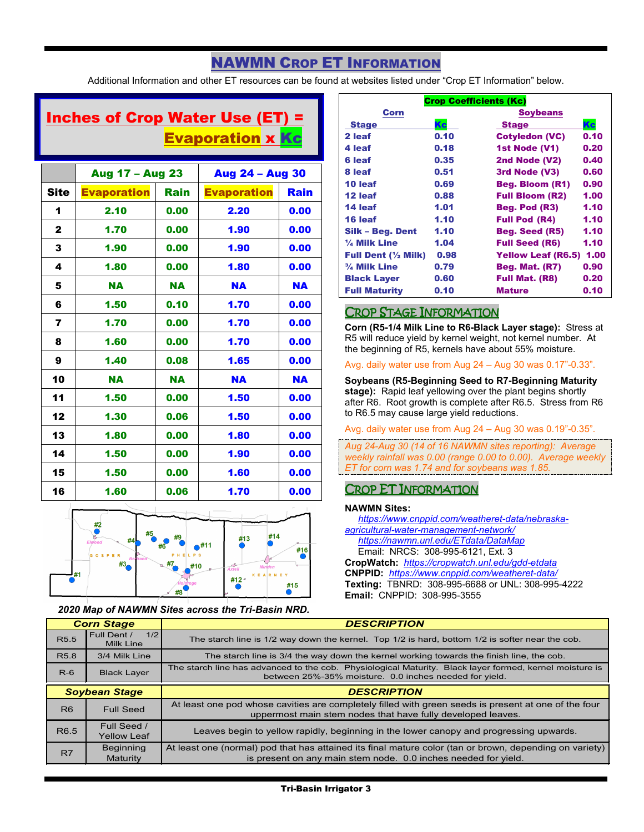# NAWMN CROP ET INFORMATION

Additional Information and other ET resources can be found at websites listed under "Crop ET Information" below.

# Inches of Crop Water Use (ET) = **Evaporation x Kc**

|              | Aug 17 - Aug 23    |           | Aug 24 - Aug 30    |           |
|--------------|--------------------|-----------|--------------------|-----------|
| <b>Site</b>  | <b>Evaporation</b> | Rain      | <b>Evaporation</b> | Rain      |
| 1            | 2.10               | 0.00      | 2.20               | 0.00      |
| $\mathbf{2}$ | 1.70               | 0.00      | 1.90               | 0.00      |
| 3            | 1.90               | 0.00      | 1.90               | 0.00      |
| 4            | 1.80               | 0.00      | 1.80               | 0.00      |
| 5            | <b>NA</b>          | <b>NA</b> | <b>NA</b>          | <b>NA</b> |
| 6            | 1.50               | 0.10      | 1.70               | 0.00      |
| 7            | 1.70               | 0.00      | 1.70               | 0.00      |
| 8            | 1.60               | 0.00      | 1.70               | 0.00      |
| 9            | 1.40               | 0.08      | 1.65               | 0.00      |
| 10           | <b>NA</b>          | <b>NA</b> | <b>NA</b>          | <b>NA</b> |
| 11           | 1.50               | 0.00      | 1.50               | 0.00      |
| 12           | 1.30               | 0.06      | 1.50               | 0.00      |
| 13           | 1.80               | 0.00      | 1.80               | 0.00      |
| 14           | 1.50               | 0.00      | 1.90               | 0.00      |
| 15           | 1.50               | 0.00      | 1.60               | 0.00      |
| 16           | 1.60               | 0.06      | 1.70               | 0.00      |



### *2020 Map of NAWMN Sites across the Tri-Basin NRD.*

| <b>Crop Coefficients (Kc)</b>  |      |                         |      |  |
|--------------------------------|------|-------------------------|------|--|
| <b>Corn</b>                    |      | <b>Soybeans</b>         |      |  |
| <b>Stage</b>                   | Kc   | <b>Stage</b>            | Kc   |  |
| 2 leaf                         | 0.10 | <b>Cotyledon (VC)</b>   | 0.10 |  |
| 4 leaf                         | 0.18 | 1st Node (V1)           | 0.20 |  |
| 6 leaf                         | 0.35 | 2nd Node (V2)           | 0.40 |  |
| 8 leaf                         | 0.51 | 3rd Node (V3)           | 0.60 |  |
| 10 leaf                        | 0.69 | <b>Beg. Bloom (R1)</b>  | 0.90 |  |
| 12 leaf                        | 0.88 | <b>Full Bloom (R2)</b>  | 1.00 |  |
| 14 leaf                        | 1.01 | Beg. Pod (R3)           | 1.10 |  |
| 16 leaf                        | 1.10 | <b>Full Pod (R4)</b>    | 1.10 |  |
| Silk - Beg. Dent               | 1.10 | Beg. Seed (R5)          | 1.10 |  |
| 1/4 Milk Line                  | 1.04 | <b>Full Seed (R6)</b>   | 1.10 |  |
| Full Dent $(\frac{1}{2}$ Milk) | 0.98 | Yellow Leaf (R6.5) 1.00 |      |  |
| $\frac{3}{4}$ Milk Line        | 0.79 | <b>Beg. Mat. (R7)</b>   | 0.90 |  |
| <b>Black Layer</b>             | 0.60 | <b>Full Mat. (R8)</b>   | 0.20 |  |
| <b>Full Maturity</b>           | 0.10 | <b>Mature</b>           | 0.10 |  |

### CROP STAGE INFORMATION

**Corn (R5-1/4 Milk Line to R6-Black Layer stage):** Stress at R5 will reduce yield by kernel weight, not kernel number. At the beginning of R5, kernels have about 55% moisture.

Avg. daily water use from Aug 24 – Aug 30 was 0.17"-0.33".

**Soybeans (R5-Beginning Seed to R7-Beginning Maturity stage):** Rapid leaf yellowing over the plant begins shortly after R6. Root growth is complete after R6.5. Stress from R6 to R6.5 may cause large yield reductions.

Avg. daily water use from Aug 24 – Aug 30 was 0.19"-0.35".

*Aug 24-Aug 30 (14 of 16 NAWMN sites reporting): Average weekly rainfall was 0.00 (range 0.00 to 0.00). Average weekly ET for corn was 1.74 and for soybeans was 1.85.*

### CROP ET INFORMATION

### **NAWMN Sites:**

 *[https://www.cnppid.com/weatheret-data/nebraska](https://www.cnppid.com/weatheret-data/nebraska-agricultural-water-management-network/)[agricultural-water-management-network/](https://www.cnppid.com/weatheret-data/nebraska-agricultural-water-management-network/)*

 *<https://nawmn.unl.edu/ETdata/DataMap>* Email: NRCS: 308-995-6121, Ext. 3

**CropWatch:** *<https://cropwatch.unl.edu/gdd-etdata>* **CNPPID:** *<https://www.cnppid.com/weatheret-data/>* **Texting:** TBNRD: 308-995-6688 or UNL: 308-995-4222 **Email:** CNPPID: 308-995-3555

| <b>Corn Stage</b>    |                                        | <b>DESCRIPTION</b>                                                                                                                                                        |
|----------------------|----------------------------------------|---------------------------------------------------------------------------------------------------------------------------------------------------------------------------|
| R <sub>5.5</sub>     | Full Dent /<br>1/2<br><b>Milk Line</b> | The starch line is 1/2 way down the kernel. Top 1/2 is hard, bottom 1/2 is softer near the cob.                                                                           |
| R <sub>5.8</sub>     | 3/4 Milk Line                          | The starch line is 3/4 the way down the kernel working towards the finish line, the cob.                                                                                  |
| $R-6$                | <b>Black Layer</b>                     | The starch line has advanced to the cob. Physiological Maturity. Black layer formed, kernel moisture is<br>between 25%-35% moisture. 0.0 inches needed for yield.         |
| <b>Soybean Stage</b> |                                        | <b>DESCRIPTION</b>                                                                                                                                                        |
| R <sub>6</sub>       | <b>Full Seed</b>                       | At least one pod whose cavities are completely filled with green seeds is present at one of the four<br>uppermost main stem nodes that have fully developed leaves.       |
| R <sub>6.5</sub>     | Full Seed /<br><b>Yellow Leaf</b>      | Leaves begin to yellow rapidly, beginning in the lower canopy and progressing upwards.                                                                                    |
| R <sub>7</sub>       | <b>Beginning</b><br>Maturity           | At least one (normal) pod that has attained its final mature color (tan or brown, depending on variety)<br>is present on any main stem node. 0.0 inches needed for yield. |